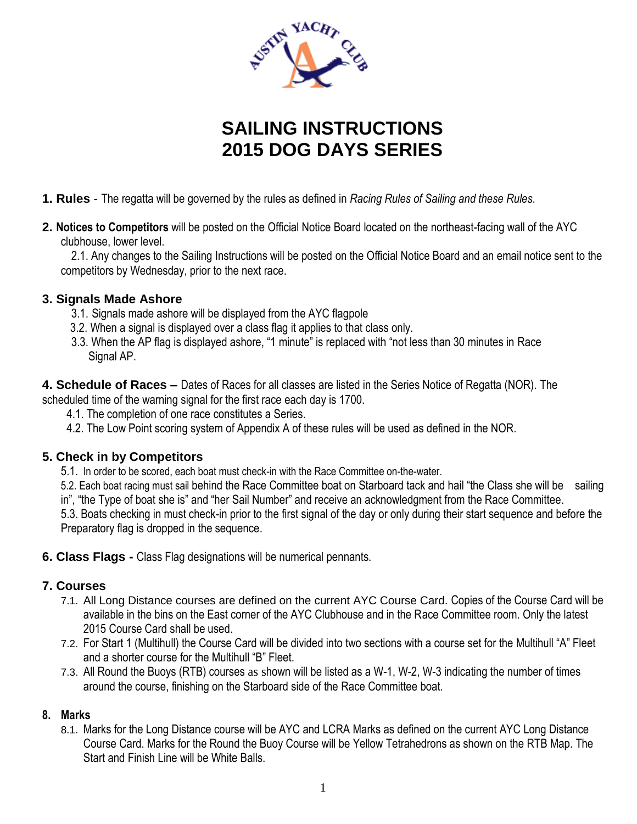

# **SAILING INSTRUCTIONS 2015 DOG DAYS SERIES**

- **1. Rules** The regatta will be governed by the rules as defined in *Racing Rules of Sailing and these Rules*.
- **2. Notices to Competitors** will be posted on the Official Notice Board located on the northeast-facing wall of the AYC clubhouse, lower level.

2.1. Any changes to the Sailing Instructions will be posted on the Official Notice Board and an email notice sent to the competitors by Wednesday, prior to the next race.

#### **3. Signals Made Ashore**

- 3.1. Signals made ashore will be displayed from the AYC flagpole
- 3.2. When a signal is displayed over a class flag it applies to that class only.
- 3.3. When the AP flag is displayed ashore, "1 minute" is replaced with "not less than 30 minutes in Race Signal AP.

**4. Schedule of Races –** Dates of Races for all classes are listed in the Series Notice of Regatta (NOR). The scheduled time of the warning signal for the first race each day is 1700.

- 4.1. The completion of one race constitutes a Series.
- 4.2. The Low Point scoring system of Appendix A of these rules will be used as defined in the NOR.

#### **5. Check in by Competitors**

5.1. In order to be scored, each boat must check-in with the Race Committee on-the-water.

5.2. Each boat racing must sail behind the Race Committee boat on Starboard tack and hail "the Class she will be sailing in", "the Type of boat she is" and "her Sail Number" and receive an acknowledgment from the Race Committee.

5.3. Boats checking in must check-in prior to the first signal of the day or only during their start sequence and before the Preparatory flag is dropped in the sequence.

**6. Class Flags -** Class Flag designations will be numerical pennants.

#### **7. Courses**

- 7.1. All Long Distance courses are defined on the current AYC Course Card. Copies of the Course Card will be available in the bins on the East corner of the AYC Clubhouse and in the Race Committee room. Only the latest 2015 Course Card shall be used.
- 7.2. For Start 1 (Multihull) the Course Card will be divided into two sections with a course set for the Multihull "A" Fleet and a shorter course for the Multihull "B" Fleet.
- 7.3. All Round the Buoys (RTB) courses as shown will be listed as a W-1, W-2, W-3 indicating the number of times around the course, finishing on the Starboard side of the Race Committee boat.

#### **8. Marks**

8.1. Marks for the Long Distance course will be AYC and LCRA Marks as defined on the current AYC Long Distance Course Card. Marks for the Round the Buoy Course will be Yellow Tetrahedrons as shown on the RTB Map. The Start and Finish Line will be White Balls.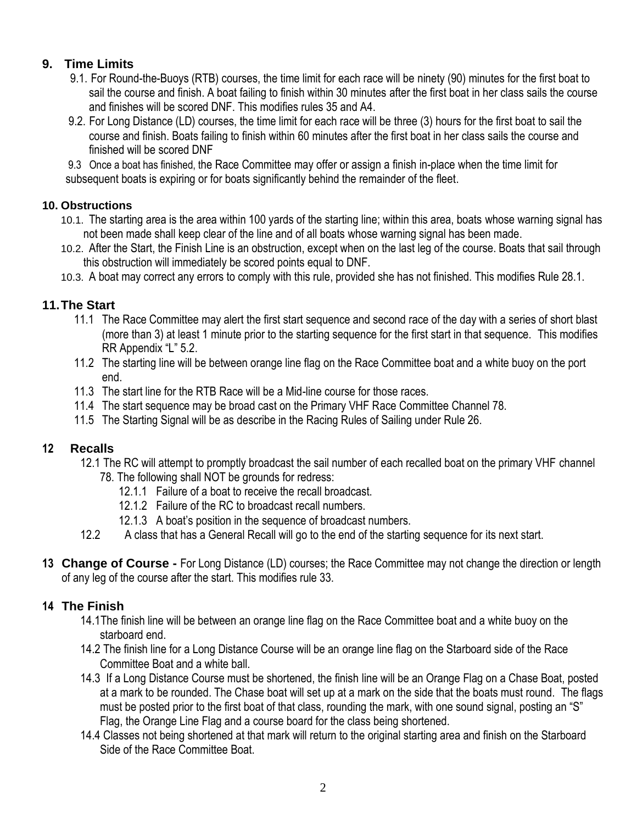## **9. Time Limits**

- 9.1. For Round-the-Buoys (RTB) courses, the time limit for each race will be ninety (90) minutes for the first boat to sail the course and finish. A boat failing to finish within 30 minutes after the first boat in her class sails the course and finishes will be scored DNF. This modifies rules 35 and A4.
- 9.2. For Long Distance (LD) courses, the time limit for each race will be three (3) hours for the first boat to sail the course and finish. Boats failing to finish within 60 minutes after the first boat in her class sails the course and finished will be scored DNF

9.3 Once a boat has finished, the Race Committee may offer or assign a finish in-place when the time limit for subsequent boats is expiring or for boats significantly behind the remainder of the fleet.

#### **10. Obstructions**

- 10.1. The starting area is the area within 100 yards of the starting line; within this area, boats whose warning signal has not been made shall keep clear of the line and of all boats whose warning signal has been made.
- 10.2. After the Start, the Finish Line is an obstruction, except when on the last leg of the course. Boats that sail through this obstruction will immediately be scored points equal to DNF.
- 10.3. A boat may correct any errors to comply with this rule, provided she has not finished. This modifies Rule 28.1.

### **11.The Start**

- 11.1 The Race Committee may alert the first start sequence and second race of the day with a series of short blast (more than 3) at least 1 minute prior to the starting sequence for the first start in that sequence. This modifies RR Appendix "L" 5.2.
- 11.2 The starting line will be between orange line flag on the Race Committee boat and a white buoy on the port end.
- 11.3 The start line for the RTB Race will be a Mid-line course for those races.
- 11.4 The start sequence may be broad cast on the Primary VHF Race Committee Channel 78.
- 11.5 The Starting Signal will be as describe in the Racing Rules of Sailing under Rule 26.

#### **12 Recalls**

- 12.1 The RC will attempt to promptly broadcast the sail number of each recalled boat on the primary VHF channel 78. The following shall NOT be grounds for redress:
	- 12.1.1 Failure of a boat to receive the recall broadcast.
	- 12.1.2 Failure of the RC to broadcast recall numbers.
	- 12.1.3 A boat's position in the sequence of broadcast numbers.
- 12.2 A class that has a General Recall will go to the end of the starting sequence for its next start.
- **13 Change of Course -** For Long Distance (LD) courses; the Race Committee may not change the direction or length of any leg of the course after the start. This modifies rule 33.

#### **14 The Finish**

- 14.1The finish line will be between an orange line flag on the Race Committee boat and a white buoy on the starboard end.
- 14.2 The finish line for a Long Distance Course will be an orange line flag on the Starboard side of the Race Committee Boat and a white ball.
- 14.3 If a Long Distance Course must be shortened, the finish line will be an Orange Flag on a Chase Boat, posted at a mark to be rounded. The Chase boat will set up at a mark on the side that the boats must round. The flags must be posted prior to the first boat of that class, rounding the mark, with one sound signal, posting an "S" Flag, the Orange Line Flag and a course board for the class being shortened.
- 14.4 Classes not being shortened at that mark will return to the original starting area and finish on the Starboard Side of the Race Committee Boat.